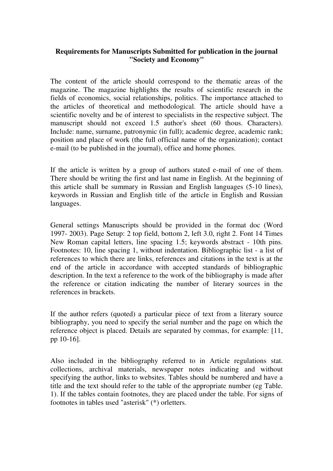## **Requirements for Manuscripts Submitted for publication in the journal "Society and Economy"**

The content of the article should correspond to the thematic areas of the magazine. The magazine highlights the results of scientific research in the fields of economics, social relationships, politics. The importance attached to the articles of theoretical and methodological. The article should have a scientific novelty and be of interest to specialists in the respective subject. The manuscript should not exceed 1.5 author's sheet (60 thous. Characters). Include: name, surname, patronymic (in full); academic degree, academic rank; position and place of work (the full official name of the organization); contact e-mail (to be published in the journal), office and home phones.

If the article is written by a group of authors stated e-mail of one of them. There should be writing the first and last name in English. At the beginning of this article shall be summary in Russian and English languages (5-10 lines), keywords in Russian and English title of the article in English and Russian languages.

General settings Manuscripts should be provided in the format doc (Word 1997- 2003). Page Setup: 2 top field, bottom 2, left 3.0, right 2. Font 14 Times New Roman capital letters, line spacing 1.5; keywords abstract - 10th pins. Footnotes: 10, line spacing 1, without indentation. Bibliographic list - a list of references to which there are links, references and citations in the text is at the end of the article in accordance with accepted standards of bibliographic description. In the text a reference to the work of the bibliography is made after the reference or citation indicating the number of literary sources in the references in brackets.

If the author refers (quoted) a particular piece of text from a literary source bibliography, you need to specify the serial number and the page on which the reference object is placed. Details are separated by commas, for example: [11, pp 10-16].

Also included in the bibliography referred to in Article regulations stat. collections, archival materials, newspaper notes indicating and without specifying the author, links to websites. Tables should be numbered and have a title and the text should refer to the table of the appropriate number (eg Table. 1). If the tables contain footnotes, they are placed under the table. For signs of footnotes in tables used "asterisk" (\*) orletters.